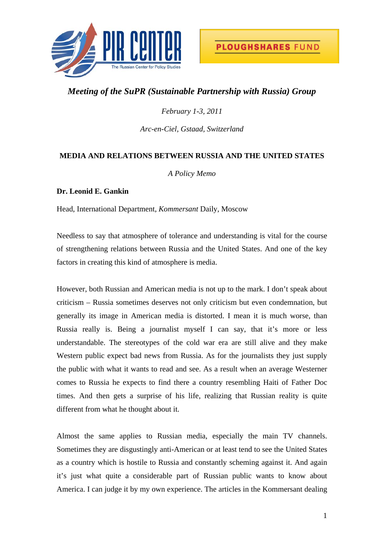

## *Meeting of the SuPR (Sustainable Partnership with Russia) Group*

*February 1-3, 2011* 

*Arc-en-Ciel, Gstaad, Switzerland* 

## **MEDIA AND RELATIONS BETWEEN RUSSIA AND THE UNITED STATES**

*A Policy Memo* 

## **Dr. Leonid E. Gankin**

Head, International Department, *Kommersant* Daily, Moscow

Needless to say that atmosphere of tolerance and understanding is vital for the course of strengthening relations between Russia and the United States. And one of the key factors in creating this kind of atmosphere is media.

However, both Russian and American media is not up to the mark. I don't speak about criticism – Russia sometimes deserves not only criticism but even condemnation, but generally its image in American media is distorted. I mean it is much worse, than Russia really is. Being a journalist myself I can say, that it's more or less understandable. The stereotypes of the cold war era are still alive and they make Western public expect bad news from Russia. As for the journalists they just supply the public with what it wants to read and see. As a result when an average Westerner comes to Russia he expects to find there a country resembling Haiti of Father Doc times. And then gets a surprise of his life, realizing that Russian reality is quite different from what he thought about it.

Almost the same applies to Russian media, especially the main TV channels. Sometimes they are disgustingly anti-American or at least tend to see the United States as a country which is hostile to Russia and constantly scheming against it. And again it's just what quite a considerable part of Russian public wants to know about America. I can judge it by my own experience. The articles in the Kommersant dealing